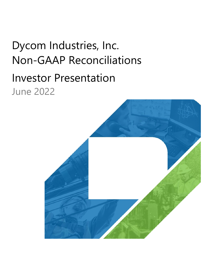# Dycom Industries, Inc. Non‐GAAP Reconciliations Investor Presentation June 2022

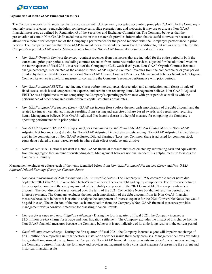## **Explanation of Non-GAAP Financial Measures**

The Company reports its financial results in accordance with U.S. generally accepted accounting principles (GAAP). In the Company's quarterly results releases, trend schedules, conference calls, slide presentations, and webcasts, it may use or discuss Non-GAAP financial measures, as defined by Regulation G of the Securities and Exchange Commission. The Company believes that the presentation of certain Non-GAAP financial measures in these materials provides information that is useful to investors because it allows for a more direct comparison of the Company's performance for the period reported with the Company's performance in prior periods. The Company cautions that Non-GAAP financial measures should be considered in addition to, but not as a substitute for, the Company's reported GAAP results. Management defines the Non-GAAP financial measures used as follows:

- *• Non-GAAP Organic Contract Revenues* contract revenues from businesses that are included for the entire period in both the current and prior year periods, excluding contract revenues from storm restoration services, adjusted for the additional week in the fourth quarter of fiscal 2021, as a result of the Company's 52/53 week fiscal year. Non-GAAP Organic Contract Revenue change percentage is calculated as the change in Non-GAAP Organic Contract Revenues from the comparable prior year period divided by the comparable prior year period Non-GAAP Organic Contract Revenues. Management believes Non-GAAP Organic Contract Revenues is a helpful measure for comparing the Company's revenue performance with prior periods.
- *Non-GAAP Adjusted EBITDA* net income (loss) before interest, taxes, depreciation and amortization, gain (loss) on sale of fixed assets, stock-based compensation expense, and certain non-recurring items. Management believes Non-GAAP Adjusted EBITDA is a helpful measure for comparing the Company's operating performance with prior periods as well as with the performance of other companies with different capital structures or tax rates.
- *Non-GAAP Adjusted Net Income (Loss)* GAAP net income (loss) before the non-cash amortization of the debt discount and the related tax impact, certain tax impacts resulting from vesting and exercise of share-based awards, and certain non-recurring items. Management believes Non-GAAP Adjusted Net Income (Loss) is a helpful measure for comparing the Company's operating performance with prior periods.
- *• Non-GAAP Adjusted Diluted Earnings (Loss) per Common Share* and *Non-GAAP Adjusted Diluted Shares*  Non-GAAP Adjusted Net Income (Loss) divided by Non-GAAP Adjusted Diluted Shares outstanding. Non-GAAP Adjusted Diluted Shares used in the computation of Non-GAAP Adjusted Diluted Earnings (Loss) per Common Share is adjusted for common stock equivalents related to share-based awards in where their effect would be anti-dilutive.
- *Notional Net Debt* Notional net debt is a Non-GAAP financial measure that is calculated by subtracting cash and equivalents from the aggregate face amount of outstanding debt. Management believes notional net debt is a helpful measure to assess the Company's liquidity.

#### Management excludes or adjusts each of the items identified below from *Non-GAAP Adjusted Net Income (Loss)* and *Non-GAAP Adjusted Diluted Earnings (Loss) per Common Share*:

- *• Non-cash amortization of debt discount on 2021 Convertible Notes* The Company's 0.75% convertible senior notes due September 2021 (the "2021 Convertible Notes") were allocated between debt and equity components. The difference between the principal amount and the carrying amount of the liability component of the 2021 Convertible Notes represents a debt discount. The debt discount was amortized over the term of the 2021 Convertible Notes but did not result in periodic cash interest payments. The Company excludes the non-cash amortization of the debt discount from its Non-GAAP financial measures because it believes it is useful to analyze the component of interest expense for the 2021 Convertible Notes that would be paid in cash. The exclusion of the non-cash amortization from the Company's Non-GAAP financial measures provides management with a consistent measure for assessing financial results.
- *Charges for a wage and hour litigation settlement* During the fourth quarter of fiscal 2021, the Company incurred a \$2.3 million pre-tax charge for a wage and hour litigation settlement. The Company excludes the impact of this charge from its Non-GAAP financial measures because the Company believes it is not indicative of its underlying results in the current period.
- *• Goodwill impairment charge*  During the first quarter of fiscal 2021, the Company incurred a goodwill impairment charge of \$53.3 million for a reporting unit that performs installation services inside third party premises. Management believes excluding the goodwill impairment charge from the Company's Non-GAAP financial measures assists investors' overall understanding of the Company's current financial performance and provides management with a consistent measure for assessing the current and historical financial results.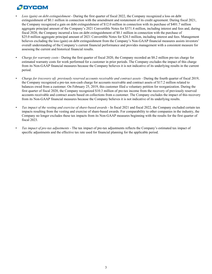- *• Loss (gain) on debt extinguishment*  During the first quarter of fiscal 2022, the Company recognized a loss on debt extinguishment of \$0.1 million in connection with the amendment and restatement of its credit agreement. During fiscal 2021, the Company recognized a gain on debt extinguishment of \$12.0 million in connection with its purchase of \$401.7 million aggregate principal amount of the Company's 2021 Convertible Notes for \$371.4 million, including interest and fees and, during fiscal 2020, the Company incurred a loss on debt extinguishment of \$0.1 million in connection with the purchase of \$25.0 million aggregate principal amount of 2021 Convertible Notes for \$24.3 million, including interest and fees. Management believes excluding the loss (gain) on debt extinguishment from the Company's Non-GAAP financial measures assists investors' overall understanding of the Company's current financial performance and provides management with a consistent measure for assessing the current and historical financial results.
- *• Charge for warranty costs* During the first quarter of fiscal 2020, the Company recorded an \$8.2 million pre-tax charge for estimated warranty costs for work performed for a customer in prior periods. The Company excludes the impact of this charge from its Non-GAAP financial measures because the Company believes it is not indicative of its underlying results in the current period.
- Charge for (recovery of) previously reserved accounts receivable and contract assets During the fourth quarter of fiscal 2019, the Company recognized a pre-tax non-cash charge for accounts receivable and contract assets of \$17.2 million related to balances owed from a customer. On February 25, 2019, this customer filed a voluntary petition for reorganization. During the first quarter of fiscal 2020, the Company recognized \$10.3 million of pre-tax income from the recovery of previously reserved accounts receivable and contract assets based on collections from a customer. The Company excludes the impact of this recovery from its Non-GAAP financial measures because the Company believes it is not indicative of its underlying results.
- *• Tax impact of the vesting and exercise of share-based awards* In fiscal 2021 and fiscal 2022, the Company excluded certain tax impacts resulting from the vesting and exercise of share-based awards. For comparability to other companies in the industry, the Company no longer excludes these tax impacts from its Non-GAAP measures beginning with the results for the first quarter of fiscal 2023.
- *Tax impact of pre-tax adjustments* The tax impact of pre-tax adjustments reflects the Company's estimated tax impact of specific adjustments and the effective tax rate used for financial planning for the applicable period.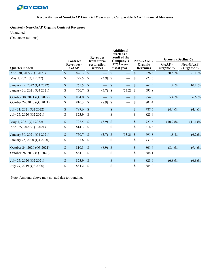

## **Quarterly Non-GAAP Organic Contract Revenues**

Unaudited

(Dollars in millions)

|                            |              |                                              |                                       | <b>Revenues</b> | <b>Additional</b><br>week as a<br>result of the |                                          |               |                                         | Growth (Decline)%  |                                |  |  |  |
|----------------------------|--------------|----------------------------------------------|---------------------------------------|-----------------|-------------------------------------------------|------------------------------------------|---------------|-----------------------------------------|--------------------|--------------------------------|--|--|--|
| <b>Quarter Ended</b>       |              | Contract<br><b>Revenues -</b><br><b>GAAP</b> | from storm<br>restoration<br>services |                 |                                                 | Company's<br>$52/53$ week<br>fiscal year |               | Non-GAAP-<br>Organic<br><b>Revenues</b> | GAAP-<br>Organic % | <b>Non-GAAP</b><br>- Organic % |  |  |  |
| April 30, 2022 (Q1 2023)   | \$           | 876.3                                        | $\mathcal{S}$                         |                 | $\mathbb{S}$                                    |                                          | $\mathbb{S}$  | 876.3                                   | 20.5 %             | 21.1 %                         |  |  |  |
| May 1, 2021 (Q1 2022)      | \$           | 727.5                                        | <sup>\$</sup>                         | $(3.9)$ \$      |                                                 |                                          | \$            | 723.6                                   |                    |                                |  |  |  |
| January 29, 2022 (Q4 2022) | $\mathbb{S}$ | 761.5                                        | $\mathcal{S}$                         |                 | $\mathcal{S}$                                   | $\frac{1}{2}$                            | $\mathbb{S}$  | 761.5                                   | $1.4\%$            | 10.1%                          |  |  |  |
| January 30, 2021 (Q4 2021) | \$           | 750.7                                        | \$                                    | $(5.7)$ \$      |                                                 | $(53.2)$ \$                              |               | 691.8                                   |                    |                                |  |  |  |
| October 30, 2021 (Q3 2022) | $\mathbb{S}$ | 854.0                                        | $\mathcal{S}$                         |                 | $\mathcal{S}$                                   |                                          | $\mathcal{S}$ | 854.0                                   | 5.4 %              | $6.6\%$                        |  |  |  |
| October 24, 2020 (Q3 2021) | \$           | 810.3                                        | <sup>\$</sup>                         | $(8.9)$ \$      |                                                 | $\hspace{0.05cm}$                        | <sup>\$</sup> | 801.4                                   |                    |                                |  |  |  |
| July 31, 2021 (Q2 2022)    | $\mathbb{S}$ | 787.6                                        | $\mathcal{S}$                         |                 | $\mathcal{S}$                                   |                                          | $\mathbb{S}$  | 787.6                                   | $(4.4)\%$          | (4.4)%                         |  |  |  |
| July 25, 2020 (Q2 2021)    | \$           | 823.9                                        | $\mathcal{S}$                         |                 | \$                                              | $\frac{1}{2}$                            | \$            | 823.9                                   |                    |                                |  |  |  |
| May 1, 2021 (Q1 2022)      | $\mathbb{S}$ | 727.5                                        | $\mathcal{S}$                         | $(3.9)$ \$      |                                                 |                                          | $\mathbb{S}$  | 723.6                                   | $(10.7)\%$         | $(11.1)\%$                     |  |  |  |
| April 25, 2020 (Q1 2021)   | \$           | 814.3                                        | <sup>S</sup>                          |                 | $\boldsymbol{\mathsf{S}}$                       | $\overbrace{\phantom{aaaaa}}$            | \$            | 814.3                                   |                    |                                |  |  |  |
| January 30, 2021 (Q4 2021) | \$           | 750.7                                        | $\mathcal{S}$                         | $(5.7)$ \$      |                                                 | $(53.2)$ \$                              |               | 691.8                                   | 1.8 %              | $(6.2)\%$                      |  |  |  |
| January 25, 2020 (Q4 2020) | \$           | 737.6                                        | <sup>\$</sup>                         |                 | $\boldsymbol{\mathsf{S}}$                       | $\frac{1}{2}$                            | $\mathcal{S}$ | 737.6                                   |                    |                                |  |  |  |
| October 24, 2020 (Q3 2021) | \$           | 810.3                                        | $\mathcal{S}$                         | $(8.9)$ \$      |                                                 |                                          | $\sqrt{\ }$   | 801.4                                   | $(8.4)\%$          | $(9.4)\%$                      |  |  |  |
| October 26, 2019 (Q3 2020) | \$           | 884.1                                        | \$                                    |                 | $\mathcal{S}$                                   | $\qquad \qquad$                          | \$            | 884.1                                   |                    |                                |  |  |  |
| July 25, 2020 (Q2 2021)    | $\mathbb{S}$ | 823.9                                        | $\mathcal{S}$                         |                 | $\mathcal{S}$                                   |                                          | $\sqrt{\ }$   | 823.9                                   | $(6.8)\%$          | $(6.8)\%$                      |  |  |  |
| July 27, 2019 (Q2 2020)    | \$           | 884.2                                        | \$                                    |                 | \$                                              |                                          | \$            | 884.2                                   |                    |                                |  |  |  |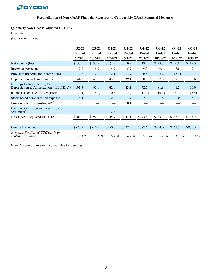#### **Reconciliation of Non-GAAP Financial Measures to Comparable GAAP Financial Measures**

#### **Quarterly Non-GAAP Adjusted EBITDA**

#### Unaudited

(Dollars in millions)

|                                                                            | $Q2-21$      | $Q3-21$      | $Q4-21$               | $Q1-22$             | $Q2-22$      | $Q3-22$      | $Q4-22$             | $Q1-23$      |
|----------------------------------------------------------------------------|--------------|--------------|-----------------------|---------------------|--------------|--------------|---------------------|--------------|
|                                                                            | <b>Ended</b> | <b>Ended</b> | <b>Ended</b>          | <b>Ended</b>        | <b>Ended</b> | <b>Ended</b> | <b>Ended</b>        | <b>Ended</b> |
|                                                                            | 7/25/20      | 10/24/20     | 1/30/21               | 5/1/21              | 7/31/21      | 10/30/21     | 1/29/22             | 4/30/22      |
| Net income (loss)                                                          | \$37.0       | \$33.9       | (4.2)                 | $\mathbb{S}$<br>0.9 | \$18.2       | \$28.7       | $\mathbb{S}$<br>0.8 | \$19.5       |
| Interest expense, net                                                      | 7.9          | 4.7          | 4.7                   | 5.9                 | 9.3          | 9.1          | 8.8                 | 9.1          |
| Provision (benefit) for income taxes                                       | 12.2         | 12.0         | (2.1)                 | (2.7)               | 6.5          | 6.2          | (5.7)               | 0.7          |
| Depreciation and amortization                                              | 44.1         | 42.3         | 43.6                  | 39.1                | 38.5         | 37.8         | 37.3                | 36.6         |
| Earnings Before Interest, Taxes,<br>Depreciation & Amortization ("EBITDA") | 101.3        | 93.0         | 42.0                  | 43.1                | 72.5         | 81.8         | 41.2                | 66.0         |
| (Gain) loss on sale of fixed assets                                        | (3.4)        | (4.0)        | (0.8)                 | (2.9)               | (1.0)        | (0.4)        | 0.1                 | (5.4)        |
| Stock-based compensation expense                                           | 4.4          | 3.8          | 2.3                   | 3.7                 | 2.3          | 1.8          | 2.0                 | 3.1          |
| Loss on debt extinguishment <sup>2,3</sup>                                 | 0.5          |              |                       | 0.1                 |              |              |                     |              |
| Charges for a wage and hour litigation<br>settlement <sup>4</sup>          |              |              | 2.3                   |                     |              |              |                     |              |
| Non-GAAP Adjusted EBITDA                                                   | \$102.7      | \$92.8       | $\mathcal{S}$<br>45.7 | \$44.1              | 73.8<br>\$   | \$83.1       | \$43.3              | \$63.7       |
|                                                                            |              |              |                       |                     |              |              |                     |              |
| Contract revenues                                                          | \$823.9      | \$810.3      | \$750.7               | \$727.5             | \$787.6      | \$854.0      | \$761.5             | \$876.3      |
| Non-GAAP Adjusted EBITDA % of<br>contract revenues                         | 12.5%        | 11.5%        | 6.1 $%$               | 6.1 $%$             | $9.4\%$      | $9.7\%$      | $5.7\%$             | $7.3\%$      |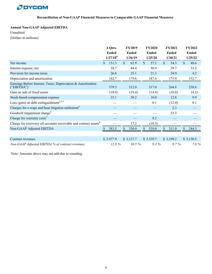

# **Annual Non-GAAP Adjusted EBITDA**

Unaudited

(Dollars in millions)

|                                                                               | 4 Qtrs.                | <b>FY2019</b>        | <b>FY2020</b>        | <b>FY2021</b>        | <b>FY2022</b>        |
|-------------------------------------------------------------------------------|------------------------|----------------------|----------------------|----------------------|----------------------|
|                                                                               | <b>Ended</b>           | <b>Ended</b>         | <b>Ended</b>         | <b>Ended</b>         | <b>Ended</b>         |
|                                                                               | $1/27/18^9$            | 1/26/19              | 1/25/20              | 1/30/21              | 1/29/22              |
| Net income                                                                    | 151.3<br>$\mathcal{S}$ | $\mathbb{S}$<br>62.9 | $\mathbb{S}$<br>57.2 | $\mathbb{S}$<br>34.3 | $\mathbb{S}$<br>48.6 |
| Interest expense, net                                                         | 38.7                   | 44.4                 | 50.9                 | 29.7                 | 33.2                 |
| Provision for income taxes                                                    | 26.6                   | 25.1                 | 21.3                 | 24.9                 | 4.2                  |
| Depreciation and amortization                                                 | 162.7                  | 179.6                | 187.6                | 175.9                | 152.7                |
| Earnings Before Interest, Taxes, Depreciation & Amortization<br>("EBITDA")    | 379.3                  | 312.0                | 317.0                | 264.8                | 238.6                |
| Gain on sale of fixed assets                                                  | (18.9)                 | (19.4)               | (14.9)               | (10.0)               | (4.2)                |
| Stock-based compensation expense                                              | 23.1                   | 20.2                 | 10.0                 | 12.8                 | 9.9                  |
| Loss (gain) on debt extinguishment <sup>2,3,5</sup>                           |                        |                      | 0.1                  | (12.0)               | 0.1                  |
| Charges for a wage and hour litigation settlement <sup>4</sup>                |                        |                      |                      | 2.3                  |                      |
| Goodwill impairment charge <sup>6</sup>                                       |                        |                      |                      | 53.3                 |                      |
| Charge for warranty costs <sup>7</sup>                                        |                        |                      | 8.2                  |                      |                      |
| Charge for (recovery of) accounts receivable and contract assets <sup>8</sup> |                        | 17.2                 | (10.3)               |                      |                      |
| Non-GAAP Adjusted EBITDA                                                      | 383.5                  | 330.0                | \$<br>310.0          | \$<br>311.0          | 244.3                |
|                                                                               |                        |                      |                      |                      |                      |
| Contract revenues                                                             | \$2,977.9              | \$3,127.7            | \$3,339.7            | \$3,199.2            | \$3,130.5            |
| Non-GAAP Adjusted EBITDA % of contract revenues                               | 12.9%                  | $10.5\%$             | $9.3\%$              | $9.7\%$              | 7.8%                 |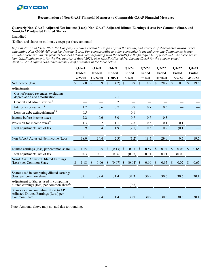

#### **Quarterly Non-GAAP Adjusted Net Income (Loss), Non-GAAP Adjusted Diluted Earnings (Loss) Per Common Share, and Non-GAAP Adjusted Diluted Shares**

Unaudited

(Dollars and shares in millions, except per share amounts)

*In fiscal 2021 and fiscal 2022, the Company excluded certain tax impacts from the vesting and exercise of share-based awards when calculating Non-GAAP Adjusted Net Income (Loss). For comparability to other companies in the industry, the Company no longer excludes these tax impacts from its Non-GAAP measures beginning with the results for the first quarter of fiscal 2023. As there are no Non-GAAP adjustments for the first quarter of fiscal 2023, Non-GAAP Adjusted Net Income (Loss) for the quarter ended April 30, 2022 equals GAAP net income (loss) presented in the table below.*

|                                                                                                  | $Q2-21$ |              | $Q3-21$       |              | $Q4-21$           |               | $Q1-22$     |              | $Q2-22$      |              | $Q3-22$ |               | $Q4-22$      | $Q1-23$       |      |  |
|--------------------------------------------------------------------------------------------------|---------|--------------|---------------|--------------|-------------------|---------------|-------------|--------------|--------------|--------------|---------|---------------|--------------|---------------|------|--|
|                                                                                                  |         | <b>Ended</b> |               | <b>Ended</b> | <b>Ended</b>      | <b>Ended</b>  |             |              | <b>Ended</b> | <b>Ended</b> |         |               | <b>Ended</b> | <b>Ended</b>  |      |  |
|                                                                                                  | 7/25/20 |              | 10/24/20      |              | 1/30/21           | 5/1/21        |             | 7/31/21      |              | 10/30/21     |         |               | 1/29/22      | 4/30/22       |      |  |
| Net income (loss)                                                                                | \$.     | 37.0         | $\mathcal{S}$ | 33.9         | \$<br>(4.2)       | $\mathcal{S}$ | 0.9         | $\mathbb{S}$ | 18.2         | \$           | 28.7    | $\mathbb{S}$  | 0.8          | $\mathcal{S}$ | 19.5 |  |
| Adjustments:                                                                                     |         |              |               |              |                   |               |             |              |              |              |         |               |              |               |      |  |
| Cost of earned revenues, excluding<br>depreciation and amortization <sup>4</sup>                 |         |              |               |              | 2.1               |               |             |              |              |              |         |               |              |               |      |  |
| General and administrative <sup>4</sup>                                                          |         |              |               |              | 0.2               |               |             |              |              |              |         |               |              |               |      |  |
| Interest expense, net <sup>10</sup>                                                              |         | 1.7          |               | 0.6          | 0.7               |               | 0.7         |              | 0.7          |              | 0.3     |               |              |               |      |  |
| Loss on debt extinguishment <sup>2,3</sup>                                                       |         | 0.5          |               |              |                   |               | 0.1         |              |              |              |         |               |              |               |      |  |
| Income before income taxes                                                                       |         | 2.2          |               | 0.6          | 3.0               |               | 0.7         |              | 0.7          |              | 0.3     |               |              |               |      |  |
| Provision for income taxes <sup>11</sup>                                                         |         | 1.3          |               | 0.2          | 1.1               |               | 2.8         |              | 0.3          |              | 0.1     |               | 0.1          |               |      |  |
| Total adjustments, net of tax                                                                    |         | 0.9          |               | 0.4          | 1.9               |               | (2.1)       |              | 0.3          |              | 0.2     |               | (0.1)        |               |      |  |
|                                                                                                  |         |              |               |              |                   |               |             |              |              |              |         |               |              |               |      |  |
| Non-GAAP Adjusted Net Income (Loss)                                                              |         | 38.0         |               | 34.4         | (2.3)             |               | (1.2)       |              | 18.5         |              | 29.0    |               | 0.7          |               | 19.5 |  |
|                                                                                                  |         |              |               |              |                   |               |             |              |              |              |         |               |              |               |      |  |
| Diluted earnings (loss) per common share                                                         | \$      | 1.15         | <sup>\$</sup> | 1.05         | \$<br>$(0.13)$ \$ |               | 0.03        | $\mathbf{s}$ | 0.59         | \$           | 0.94    | $\mathsf{\$}$ | 0.03         | <sup>\$</sup> | 0.65 |  |
| Total adjustments, net of tax                                                                    |         | 0.03         |               | 0.01         | 0.06              |               | (0.07)      |              | 0.01         |              | 0.01    |               | (0.00)       |               |      |  |
| Non-GAAP Adjusted Diluted Earnings<br>(Loss) per Common Share                                    |         | 1.18         | -S            | 1.06         | (0.07)            | <sup>3</sup>  | $(0.04)$ \$ |              | 0.60         |              | 0.95    |               | 0.02         |               | 0.65 |  |
|                                                                                                  |         |              |               |              |                   |               |             |              |              |              |         |               |              |               |      |  |
| Shares used in computing diluted earnings<br>(loss) per common share                             |         | 32.1         |               | 32.4         | 31.4              |               | 31.3        |              | 30.9         |              | 30.6    |               | 30.6         |               | 30.1 |  |
| Adjustment to Shares used in computing<br>diluted earnings (loss) per common share <sup>12</sup> |         |              |               |              |                   |               | (0.6)       |              |              |              |         |               |              |               |      |  |
| Shares used in computing Non-GAAP<br>Adjusted Diluted Earnings (Loss) per<br>Common Share        |         | 32.1         |               | 32.4         | 31.4              |               | 30.7        |              | 30.9         |              | 30.6    |               | 30.6         |               | 30.1 |  |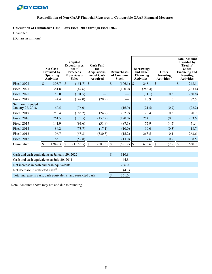

**Calculation of Cumulative Cash Flows Fiscal 2012 through Fiscal 2022**

Unaudited

(Dollars in millions)

|                                                               |                           | <b>Net Cash</b><br><b>Provided by</b><br><b>Operating</b><br><b>Activities</b> |               | Capital<br>Expenditures,<br>net of<br><b>Proceeds</b><br>from Assets<br><b>Sales</b> | <b>Cash Paid</b><br>for<br>Acquisitions,<br>net of Cash<br>Acquired |         | <b>Repurchases</b><br>of Common<br><b>Stock</b> |         | <b>Borrowings</b><br>and Other<br>Financing<br>Activities <sup>1</sup> |         |               | Other<br>Investing<br>Activities <sup>1</sup> |               | <b>Total Amount</b><br><b>Provided by</b><br>(Used in)<br>Other<br><b>Financing and</b><br>Investing<br><b>Activities</b> |
|---------------------------------------------------------------|---------------------------|--------------------------------------------------------------------------------|---------------|--------------------------------------------------------------------------------------|---------------------------------------------------------------------|---------|-------------------------------------------------|---------|------------------------------------------------------------------------|---------|---------------|-----------------------------------------------|---------------|---------------------------------------------------------------------------------------------------------------------------|
| Fiscal 2022                                                   | $\mathcal{S}$             | 308.7                                                                          | $\mathsf{\$}$ | $(151.7)$ \$                                                                         |                                                                     |         | $\mathcal{S}$                                   | (106.1) | $\vert s \vert$                                                        | 248.1   | $\mathcal{S}$ |                                               | $\mathsf{\$}$ | 248.1                                                                                                                     |
| Fiscal 2021                                                   |                           | 381.8                                                                          |               | (44.6)                                                                               |                                                                     |         |                                                 | (100.0) |                                                                        | (283.4) |               |                                               |               | (283.4)                                                                                                                   |
| Fiscal 2020                                                   |                           | 58.0                                                                           |               | (101.5)                                                                              |                                                                     |         |                                                 |         |                                                                        | (31.1)  |               | 0.3                                           |               | (30.8)                                                                                                                    |
| Fiscal 2019                                                   |                           | 124.4                                                                          |               | (142.0)                                                                              |                                                                     | (20.9)  |                                                 |         |                                                                        | 80.9    |               | 1.6                                           |               | 82.5                                                                                                                      |
| Six months ended<br>January 27, 2018                          |                           | 160.5                                                                          |               | (76.0)                                                                               |                                                                     |         |                                                 | (16.9)  |                                                                        | (21.5)  |               | (0.7)                                         |               | (22.2)                                                                                                                    |
| Fiscal 2017                                                   |                           | 256.4                                                                          |               | (185.2)                                                                              |                                                                     | (24.2)  |                                                 | (62.9)  |                                                                        | 20.4    |               | 0.3                                           |               | 20.7                                                                                                                      |
| Fiscal 2016                                                   |                           | 261.5                                                                          |               | (175.5)                                                                              |                                                                     | (157.2) |                                                 | (170.0) |                                                                        | 254.1   |               | (0.5)                                         |               | 253.6                                                                                                                     |
| Fiscal 2015                                                   |                           | 141.9                                                                          |               | (93.6)                                                                               |                                                                     | (31.9)  |                                                 | (87.1)  |                                                                        | 75.9    |               | (4.5)                                         |               | 71.4                                                                                                                      |
| Fiscal 2014                                                   |                           | 84.2                                                                           |               | (73.7)                                                                               |                                                                     | (17.1)  |                                                 | (10.0)  |                                                                        | 19.0    |               | (0.3)                                         |               | 18.7                                                                                                                      |
| Fiscal 2013                                                   |                           | 106.7                                                                          |               | (58.8)                                                                               |                                                                     | (330.3) |                                                 | (15.2)  |                                                                        | 263.5   |               | 0.1                                           |               | 263.6                                                                                                                     |
| Fiscal 2012                                                   |                           | 65.1                                                                           |               | (52.8)                                                                               |                                                                     |         |                                                 | (13.0)  |                                                                        | 7.6     |               | 0.9                                           |               | 8.5                                                                                                                       |
| Cumulative                                                    | $\boldsymbol{\mathsf{S}}$ | 1,949.3                                                                        | \$            | $(1,155.5)$ \$                                                                       |                                                                     | (581.6) | - \$                                            | (581.2) | $\lceil \mathcal{S} \rceil$                                            | 633.6   | \$            | $(2.9)$ \$                                    |               | 630.7                                                                                                                     |
| Cash and cash equivalents at January 29, 2022                 |                           |                                                                                |               |                                                                                      |                                                                     |         | $\mathsf{\$}$                                   | 310.8   |                                                                        |         |               |                                               |               |                                                                                                                           |
| Cash and cash equivalents at July 30, 2011                    |                           |                                                                                |               |                                                                                      |                                                                     |         |                                                 | 44.8    |                                                                        |         |               |                                               |               |                                                                                                                           |
| Net increase in cash and cash equivalents                     |                           |                                                                                |               |                                                                                      |                                                                     |         |                                                 | 266.0   |                                                                        |         |               |                                               |               |                                                                                                                           |
| Net decrease in restricted cash <sup>15</sup>                 |                           |                                                                                |               |                                                                                      |                                                                     |         |                                                 | (4.3)   |                                                                        |         |               |                                               |               |                                                                                                                           |
| Total increase in cash, cash equivalents, and restricted cash |                           |                                                                                |               |                                                                                      |                                                                     |         | \$                                              | 261.6   |                                                                        |         |               |                                               |               |                                                                                                                           |